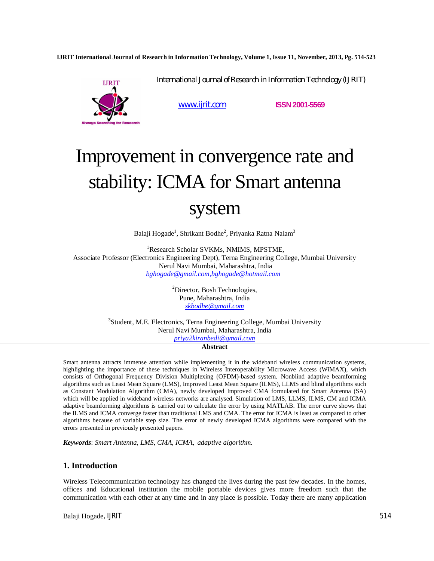**IJRIT International Journal of Research in Information Technology, Volume 1, Issue 11, November, 2013, Pg. 514-523**



www.ijrit.com **ISSN2001-5569**

International Journal of Research in Information Technology (IJRIT)

# Improvement in convergence rate and stability: ICMA for Smart antenna system

Balaji Hogade<sup>1</sup>, Shrikant Bodhe<sup>2</sup>, Priyanka Ratna Nalam<sup>3</sup>

<sup>1</sup>Research Scholar SVKMs, NMIMS, MPSTME, Associate Professor (Electronics Engineering Dept), Terna Engineering College, Mumbai University Nerul Navi Mumbai, Maharashtra, India *bghogade@gmail.com,bghogade@hotmail.com*

> <sup>2</sup>Director, Bosh Technologies, Pune, Maharashtra, India *skbodhe@gmail.com*

<sup>3</sup>Student, M.E. Electronics, Terna Engineering College, Mumbai University Nerul Navi Mumbai, Maharashtra, India *priya2kiranbedi@gmail.com*

## **Abstract**

Smart antenna attracts immense attention while implementing it in the wideband wireless communication systems, highlighting the importance of these techniques in Wireless Interoperability Microwave Access (WiMAX), which consists of Orthogonal Frequency Division Multiplexing (OFDM)-based system. Nonblind adaptive beamforming algorithms such as Least Mean Square (LMS), Improved Least Mean Square (ILMS), LLMS and blind algorithms such as Constant Modulation Algorithm (CMA), newly developed Improved CMA formulated for Smart Antenna (SA) which will be applied in wideband wireless networks are analysed. Simulation of LMS, LLMS, LMS, CM and ICMA adaptive beamforming algorithms is carried out to calculate the error by using MATLAB. The error curve shows that the ILMS and ICMA converge faster than traditional LMS and CMA. The error for ICMA is least as compared to other algorithms because of variable step size. The error of newly developed ICMA algorithms were compared with the errors presented in previously presented papers.

*Keywords*: *Smart Antenna, LMS, CMA, ICMA, adaptive algorithm.*

# **1. Introduction**

Wireless Telecommunication technology has changed the lives during the past few decades. In the homes, offices and Educational institution the mobile portable devices gives more freedom such that the communication with each other at any time and in any place is possible. Today there are many application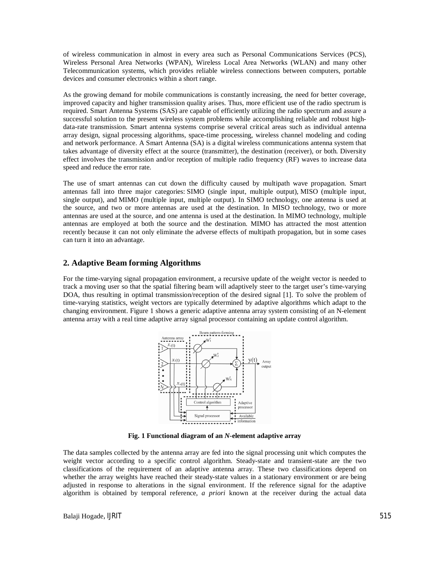of wireless communication in almost in every area such as Personal Communications Services (PCS), Wireless Personal Area Networks (WPAN), Wireless Local Area Networks (WLAN) and many other Telecommunication systems, which provides reliable wireless connections between computers, portable devices and consumer electronics within a short range.

As the growing demand for mobile communications is constantly increasing, the need for better coverage, improved capacity and higher transmission quality arises. Thus, more efficient use of the radio spectrum is required. Smart Antenna Systems (SAS) are capable of efficiently utilizing the radio spectrum and assure a successful solution to the present wireless system problems while accomplishing reliable and robust highdata-rate transmission. Smart antenna systems comprise several critical areas such as individual antenna array design, signal processing algorithms, space-time processing, wireless channel modeling and coding and network performance. A Smart Antenna (SA) is a digital wireless communications antenna system that takes advantage of diversity effect at the source (transmitter), the destination (receiver), or both. Diversity effect involves the transmission and/or reception of multiple radio frequency (RF) waves to increase data speed and reduce the error rate.

The use of smart antennas can cut down the difficulty caused by multipath wave propagation. Smart antennas fall into three major categories: SIMO (single input, multiple output), MISO (multiple input, single output), and MIMO (multiple input, multiple output). In SIMO technology, one antenna is used at the source, and two or more antennas are used at the destination. In MISO technology, two or more antennas are used at the source, and one antenna is used at the destination. In MIMO technology, multiple antennas are employed at both the source and the destination. MIMO has attracted the most attention recently because it can not only eliminate the adverse effects of multipath propagation, but in some cases can turn it into an advantage.

# **2. Adaptive Beam forming Algorithms**

For the time-varying signal propagation environment, a recursive update of the weight vector is needed to track a moving user so that the spatial filtering beam will adaptively steer to the target user's time-varying DOA, thus resulting in optimal transmission/reception of the desired signal [1]. To solve the problem of time-varying statistics, weight vectors are typically determined by adaptive algorithms which adapt to the changing environment. Figure 1 shows a generic adaptive antenna array system consisting of an N-element antenna array with a real time adaptive array signal processor containing an update control algorithm.



**Fig. 1 Functional diagram of an** *N***-element adaptive array**

The data samples collected by the antenna array are fed into the signal processing unit which computes the weight vector according to a specific control algorithm. Steady-state and transient-state are the two classifications of the requirement of an adaptive antenna array. These two classifications depend on whether the array weights have reached their steady-state values in a stationary environment or are being adjusted in response to alterations in the signal environment. If the reference signal for the adaptive algorithm is obtained by temporal reference, *a priori* known at the receiver during the actual data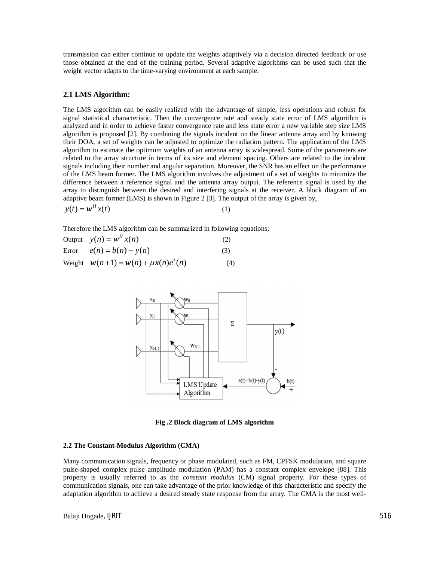transmission can either continue to update the weights adaptively via a decision directed feedback or use those obtained at the end of the training period. Several adaptive algorithms can be used such that the weight vector adapts to the time-varying environment at each sample.

## **2.1 LMS Algorithm:**

The LMS algorithm can be easily realized with the advantage of simple, less operations and robust for signal statistical characteristic. Then the convergence rate and steady state error of LMS algorithm is analyzed and in order to achieve faster convergence rate and less state error a new variable step size LMS algorithm is proposed [2]. By combining the signals incident on the linear antenna array and by knowing their DOA, a set of weights can be adjusted to optimize the radiation pattern. The application of the LMS algorithm to estimate the optimum weights of an antenna array is widespread. Some of the parameters are related to the array structure in terms of its size and element spacing. Others are related to the incident signals including their number and angular separation. Moreover, the SNR has an effect on the performance of the LMS beam former. The LMS algorithm involves the adjustment of a set of weights to minimize the difference between a reference signal and the antenna array output. The reference signal is used by the array to distinguish between the desired and interfering signals at the receiver. A block diagram of an adaptive beam former (LMS) is shown in Figure 2 [3]. The output of the array is given by,

$$
y(t) = \boldsymbol{w}^H x(t) \tag{1}
$$

Therefore the LMS algorithm can be summarized in following equations;

| Output $y(n) = w^H x(n)$                  | (2) |
|-------------------------------------------|-----|
| Error $e(n) = b(n) - y(n)$                | (3) |
| Weight $w(n+1) = w(n) + \mu x(n)e^{i}(n)$ | (4) |



**Fig .2 Block diagram of LMS algorithm**

#### **2.2 The Constant-Modulus Algorithm (CMA)**

Many communication signals, frequency or phase modulated, such as FM, CPFSK modulation, and square pulse-shaped complex pulse amplitude modulation (PAM) has a constant complex envelope [88]. This property is usually referred to as the *constant modulus* (CM) signal property. For these types of communication signals, one can take advantage of the prior knowledge of this characteristic and specify the adaptation algorithm to achieve a desired steady state response from the array. The CMA is the most well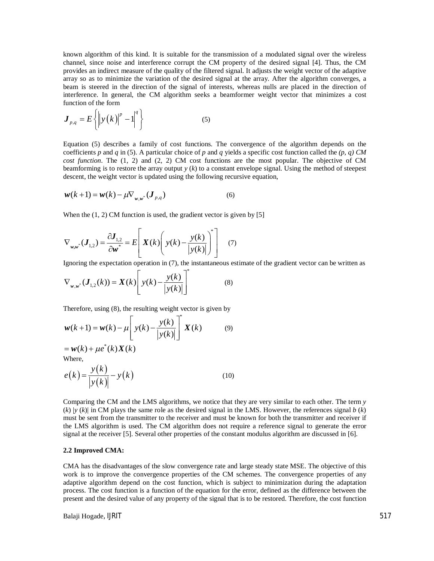known algorithm of this kind. It is suitable for the transmission of a modulated signal over the wireless channel, since noise and interference corrupt the CM property of the desired signal [4]. Thus, the CM provides an indirect measure of the quality of the filtered signal. It adjusts the weight vector of the adaptive array so as to minimize the variation of the desired signal at the array. After the algorithm converges, a beam is steered in the direction of the signal of interests, whereas nulls are placed in the direction of interference. In general, the CM algorithm seeks a beamformer weight vector that minimizes a cost function of the form

$$
\boldsymbol{J}_{p,q} = E\left\{ \left\| y(k) \right\|^p - 1 \right\}^q \right\} \tag{5}
$$

Equation (5) describes a family of cost functions. The convergence of the algorithm depends on the coefficients *p* and *q* in (5). A particular choice of *p* and *q* yields a specific cost function called the  $(p, q)$  CM *cost function*. The (1*,* 2) and (2*,* 2) CM cost functions are the most popular. The objective of CM beamforming is to restore the array output  $y$  ( $k$ ) to a constant envelope signal. Using the method of steepest descent, the weight vector is updated using the following recursive equation,

$$
\mathbf{w}(k+1) = \mathbf{w}(k) - \mu \nabla_{\mathbf{w}, \mathbf{w}^*} (\mathbf{J}_{p,q})
$$
 (6)

When the  $(1, 2)$  CM function is used, the gradient vector is given by [5]

$$
\nabla_{\mathbf{w},\mathbf{w}^*}(\boldsymbol{J}_{1,2}) = \frac{\partial \boldsymbol{J}_{1,2}}{\partial \mathbf{w}^*} = E \left[ \boldsymbol{X}(k) \left( \boldsymbol{y}(k) - \frac{\boldsymbol{y}(k)}{|\boldsymbol{y}(k)|} \right)^* \right] \tag{7}
$$

Ignoring the expectation operation in (7), the instantaneous estimate of the gradient vector can be written as

$$
\nabla_{w,w^*}(\boldsymbol{J}_{1,2}(k)) = \boldsymbol{X}(k) \left[ y(k) - \frac{y(k)}{|y(k)|} \right]^* \tag{8}
$$

Therefore, using (8), the resulting weight vector is given by

$$
\mathbf{w}(k+1) = \mathbf{w}(k) - \mu \left[ y(k) - \frac{y(k)}{|y(k)|} \right]^* \mathbf{X}(k) \tag{9}
$$

 $= w(k) + \mu e^{*}(k) X(k)$ Where,

$$
e(k) = \frac{y(k)}{|y(k)|} - y(k)
$$
\n(10)

Comparing the CM and the LMS algorithms, we notice that they are very similar to each other. The term *y*  $(k)$  |*y* (*k*)| in CM plays the same role as the desired signal in the LMS. However, the references signal *b* (*k*) must be sent from the transmitter to the receiver and must be known for both the transmitter and receiver if the LMS algorithm is used. The CM algorithm does not require a reference signal to generate the error signal at the receiver [5]. Several other properties of the constant modulus algorithm are discussed in [6].

#### **2.2 Improved CMA:**

CMA has the disadvantages of the slow convergence rate and large steady state MSE. The objective of this work is to improve the convergence properties of the CM schemes. The convergence properties of any adaptive algorithm depend on the cost function, which is subject to minimization during the adaptation process. The cost function is a function of the equation for the error, defined as the difference between the present and the desired value of any property of the signal that is to be restored. Therefore, the cost function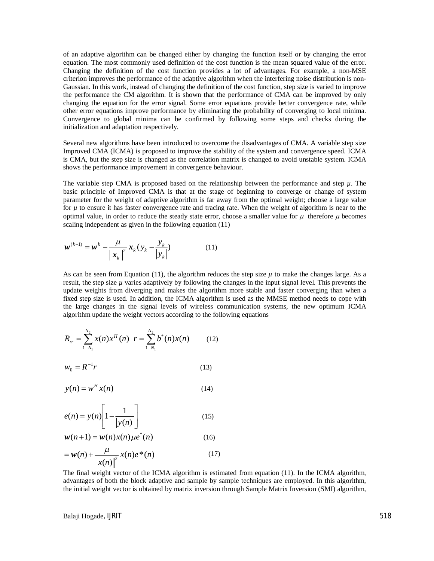of an adaptive algorithm can be changed either by changing the function itself or by changing the error equation. The most commonly used definition of the cost function is the mean squared value of the error. Changing the definition of the cost function provides a lot of advantages. For example, a non-MSE criterion improves the performance of the adaptive algorithm when the interfering noise distribution is non-Gaussian. In this work, instead of changing the definition of the cost function, step size is varied to improve the performance the CM algorithm. It is shown that the performance of CMA can be improved by only changing the equation for the error signal. Some error equations provide better convergence rate, while other error equations improve performance by eliminating the probability of converging to local minima. Convergence to global minima can be confirmed by following some steps and checks during the initialization and adaptation respectively.

Several new algorithms have been introduced to overcome the disadvantages of CMA. A variable step size Improved CMA (ICMA) is proposed to improve the stability of the system and convergence speed. ICMA is CMA, but the step size is changed as the correlation matrix is changed to avoid unstable system. ICMA shows the performance improvement in convergence behaviour.

The variable step CMA is proposed based on the relationship between the performance and step  $\mu$ . The basic principle of Improved CMA is that at the stage of beginning to converge or change of system parameter for the weight of adaptive algorithm is far away from the optimal weight; choose a large value for *µ* to ensure it has faster convergence rate and tracing rate. When the weight of algorithm is near to the optimal value, in order to reduce the steady state error, choose a smaller value for  $\mu$  therefore  $\mu$  becomes scaling independent as given in the following equation (11)

$$
\boldsymbol{w}^{(k+1)} = \boldsymbol{w}^k - \frac{\mu}{\|\boldsymbol{x}_k\|^2} \boldsymbol{x}_k (y_k - \frac{y_k}{|y_k|})
$$
(11)

As can be seen from Equation (11), the algorithm reduces the step size  $\mu$  to make the changes large. As a result, the step size  $\mu$  varies adaptively by following the changes in the input signal level. This prevents the update weights from diverging and makes the algorithm more stable and faster converging than when a fixed step size is used. In addition, the ICMA algorithm is used as the MMSE method needs to cope with the large changes in the signal levels of wireless communication systems, the new optimum ICMA algorithm update the weight vectors according to the following equations

$$
R_{rr} = \sum_{1-N_1}^{N_2} x(n) x^H(n) \quad r = \sum_{1-N_1}^{N_2} b^*(n) x(n) \tag{12}
$$

$$
w_0 = R^{-1}r \tag{13}
$$

$$
y(n) = w^H x(n)
$$
 (14)

$$
e(n) = y(n) \left[ 1 - \frac{1}{|y(n)|} \right]
$$
 (15)

$$
w(n+1) = w(n)x(n)\mu e^*(n)
$$
 (16)

$$
= w(n) + \frac{\mu}{\|x(n)\|^2} x(n)e^*(n)
$$
 (17)

The final weight vector of the ICMA algorithm is estimated from equation (11). In the ICMA algorithm, advantages of both the block adaptive and sample by sample techniques are employed. In this algorithm, the initial weight vector is obtained by matrix inversion through Sample Matrix Inversion (SMI) algorithm,

Balaji Hogade, IJRIT 518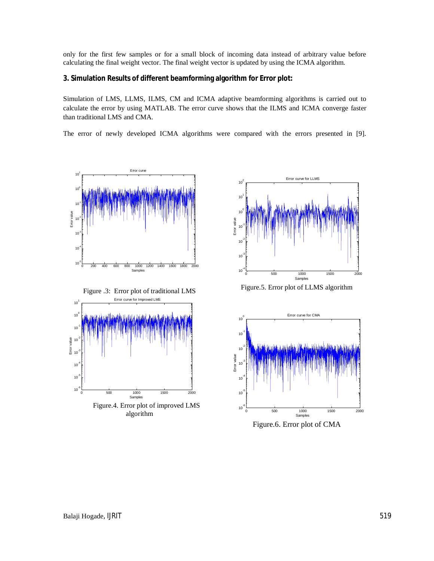only for the first few samples or for a small block of incoming data instead of arbitrary value before calculating the final weight vector. The final weight vector is updated by using the ICMA algorithm.

## **3. Simulation Results of different beamforming algorithm for Error plot:**

Simulation of LMS, LLMS, ILMS, CM and ICMA adaptive beamforming algorithms is carried out to calculate the error by using MATLAB. The error curve shows that the ILMS and ICMA converge faster than traditional LMS and CMA.

The error of newly developed ICMA algorithms were compared with the errors presented in [9].





Figure.5. Error plot of LLMS algorithm



Figure.6. Error plot of CMA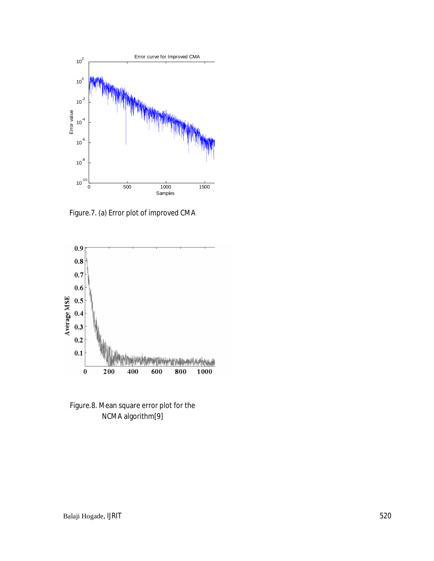

Figure.7. (a) Error plot of improved CMA



Figure.8. Mean square error plot for the NCMA algorithm[9]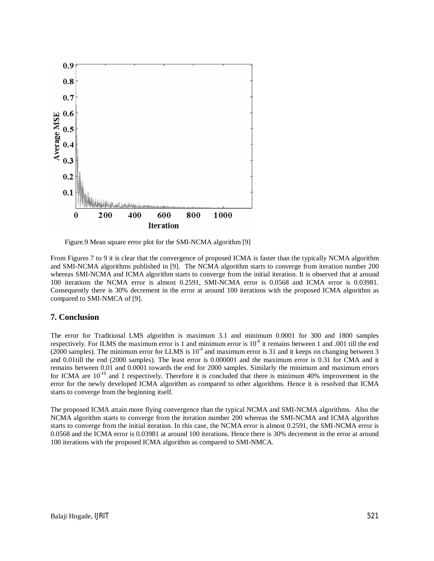

Figure.9 Mean square error plot for the SMI-NCMA algorithm [9]

From Figures 7 to 9 it is clear that the convergence of proposed ICMA is faster than the typically NCMA algorithm and SMI-NCMA algorithms published in [9]. The NCMA algorithm starts to converge from iteration number 200 whereas SMI-NCMA and ICMA algorithm starts to converge from the initial iteration. It is observed that at around 100 iterations the NCMA error is almost 0.2591, SMI-NCMA error is 0.0568 and ICMA error is 0.03981. Consequently there is 30% decrement in the error at around 100 iterations with the proposed ICMA algorithm as compared to SMI-NMCA of [9].

# **7. Conclusion**

The error for Traditional LMS algorithm is maximum 3.1 and minimum 0.0001 for 300 and 1800 samples respectively. For ILMS the maximum error is 1 and minimum error is  $10^{-6}$  it remains between 1 and .001 till the end  $(2000 \text{ samples})$ . The minimum error for LLMS is  $10^{-4}$  and maximum error is 31 and it keeps on changing between 3 and 0.01till the end (2000 samples). The least error is 0.000001 and the maximum error is 0.31 for CMA and it remains between 0.01 and 0.0001 towards the end for 2000 samples. Similarly the minimum and maximum errors for ICMA are  $10^{-10}$  and 1 respectively. Therefore it is concluded that there is minimum 40% improvement in the error for the newly developed ICMA algorithm as compared to other algorithms. Hence it is resolved that ICMA starts to converge from the beginning itself.

The proposed ICMA attain more flying convergence than the typical NCMA and SMI-NCMA algorithms. Also the NCMA algorithm starts to converge from the iteration number 200 whereas the SMI-NCMA and ICMA algorithm starts to converge from the initial iteration. In this case, the NCMA error is almost 0.2591, the SMI-NCMA error is 0.0568 and the ICMA error is 0.03981 at around 100 iterations. Hence there is 30% decrement in the error at around 100 iterations with the proposed ICMA algorithm as compared to SMI-NMCA.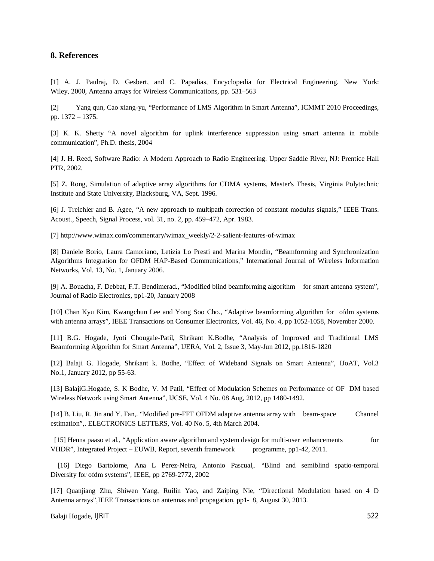## **8. References**

[1] A. J. Paulraj, D. Gesbert, and C. Papadias, Encyclopedia for Electrical Engineering. New York: Wiley, 2000, Antenna arrays for Wireless Communications, pp. 531–563

[2] Yang qun, Cao xiang-yu, "Performance of LMS Algorithm in Smart Antenna", ICMMT 2010 Proceedings, pp. 1372 – 1375.

[3] K. K. Shetty "A novel algorithm for uplink interference suppression using smart antenna in mobile communication", Ph.D. thesis, 2004

[4] J. H. Reed, Software Radio: A Modern Approach to Radio Engineering. Upper Saddle River, NJ: Prentice Hall PTR, 2002.

[5] Z. Rong, Simulation of adaptive array algorithms for CDMA systems, Master's Thesis, Virginia Polytechnic Institute and State University, Blacksburg, VA, Sept. 1996.

[6] J. Treichler and B. Agee, "A new approach to multipath correction of constant modulus signals," IEEE Trans. Acoust., Speech, Signal Process, vol. 31, no. 2, pp. 459–472, Apr. 1983.

[7] http://www.wimax.com/commentary/wimax\_weekly/2-2-salient-features-of-wimax

[8] Daniele Borio, Laura Camoriano, Letizia Lo Presti and Marina Mondin, "Beamforming and Synchronization Algorithms Integration for OFDM HAP-Based Communications," International Journal of Wireless Information Networks, Vol. 13, No. 1, January 2006.

[9] A. Bouacha, F. Debbat, F.T. Bendimerad., "Modified blind beamforming algorithm for smart antenna system", Journal of Radio Electronics, pp1-20, January 2008

[10] Chan Kyu Kim, Kwangchun Lee and Yong Soo Cho., "Adaptive beamforming algorithm for ofdm systems with antenna arrays", IEEE Transactions on Consumer Electronics, Vol. 46, No. 4, pp 1052-1058, November 2000.

[11] B.G. Hogade, Jyoti Chougale-Patil, Shrikant K.Bodhe, "Analysis of Improved and Traditional LMS Beamforming Algorithm for Smart Antenna", IJERA, Vol. 2, Issue 3, May-Jun 2012, pp.1816-1820

[12] Balaji G. Hogade, Shrikant k. Bodhe, "Effect of Wideband Signals on Smart Antenna", IJoAT, Vol.3 No.1, January 2012, pp 55-63.

[13] BalajiG.Hogade, S. K Bodhe, V. M Patil, "Effect of Modulation Schemes on Performance of OF DM based Wireless Network using Smart Antenna", IJCSE, Vol. 4 No. 08 Aug, 2012, pp 1480-1492.

[14] B. Liu, R. Jin and Y. Fan,. "Modified pre-FFT OFDM adaptive antenna array with beam-space Channel estimation",. ELECTRONICS LETTERS, Vol. 40 No. 5, 4th March 2004.

 [15] Henna paaso et al., "Application aware algorithm and system design for multi-user enhancements for VHDR", Integrated Project – EUWB, Report, seventh framework programme, pp1-42, 2011.

 [16] Diego Bartolome, Ana L Perez-Neira, Antonio Pascual,. "Blind and semiblind spatio-temporal Diversity for ofdm systems", IEEE, pp 2769-2772, 2002

[17] Quanjiang Zhu, Shiwen Yang, Ruilin Yao, and Zaiping Nie, "Directional Modulation based on 4 D Antenna arrays",IEEE Transactions on antennas and propagation, pp1- 8, August 30, 2013.

Balaji Hogade, IJRIT 522